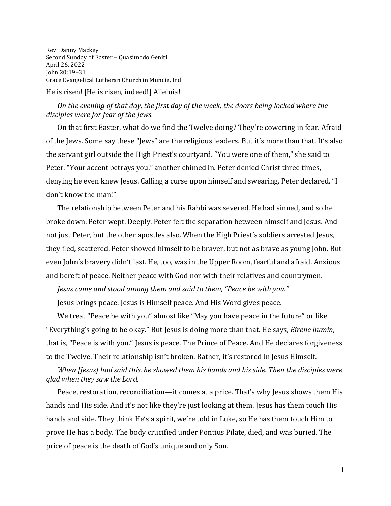Rev. Danny Mackey Second Sunday of Easter – Quasimodo Geniti April 26, 2022 John 20:19–31 Grace Evangelical Lutheran Church in Muncie, Ind. He is risen! [He is risen, indeed!] Alleluia!

## *On the evening of that day, the first day of the week, the doors being locked where the disciples were for fear of the Jews.*

On that first Easter, what do we find the Twelve doing? They're cowering in fear. Afraid of the Jews. Some say these "Jews" are the religious leaders. But it's more than that. It's also the servant girl outside the High Priest's courtyard. "You were one of them," she said to Peter. "Your accent betrays you," another chimed in. Peter denied Christ three times, denying he even knew Jesus. Calling a curse upon himself and swearing, Peter declared, "I don't know the man!"

The relationship between Peter and his Rabbi was severed. He had sinned, and so he broke down. Peter wept. Deeply. Peter felt the separation between himself and Jesus. And not just Peter, but the other apostles also. When the High Priest's soldiers arrested Jesus, they fled, scattered. Peter showed himself to be braver, but not as brave as young John. But even John's bravery didn't last. He, too, was in the Upper Room, fearful and afraid. Anxious and bereft of peace. Neither peace with God nor with their relatives and countrymen.

*Jesus came and stood among them and said to them, "Peace be with you."* 

Jesus brings peace. Jesus is Himself peace. And His Word gives peace.

We treat "Peace be with you" almost like "May you have peace in the future" or like "Everything's going to be okay." But Jesus is doing more than that. He says, *Eirene humin*, that is, "Peace is with you." Jesus is peace. The Prince of Peace. And He declares forgiveness to the Twelve. Their relationship isn't broken. Rather, it's restored in Jesus Himself.

## *When [Jesus] had said this, he showed them his hands and his side. Then the disciples were glad when they saw the Lord.*

Peace, restoration, reconciliation—it comes at a price. That's why Jesus shows them His hands and His side. And it's not like they're just looking at them. Jesus has them touch His hands and side. They think He's a spirit, we're told in Luke, so He has them touch Him to prove He has a body. The body crucified under Pontius Pilate, died, and was buried. The price of peace is the death of God's unique and only Son.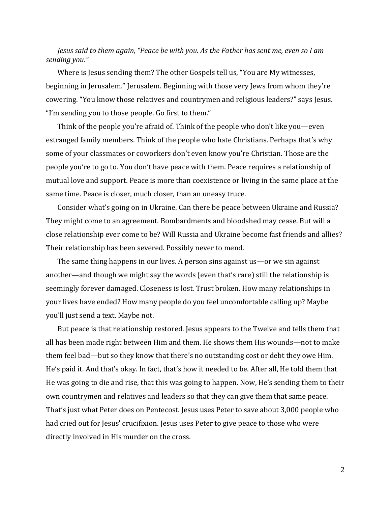*Jesus said to them again, "Peace be with you. As the Father has sent me, even so I am sending you."*

Where is Jesus sending them? The other Gospels tell us, "You are My witnesses, beginning in Jerusalem." Jerusalem. Beginning with those very Jews from whom they're cowering. "You know those relatives and countrymen and religious leaders?" says Jesus. "I'm sending you to those people. Go first to them."

Think of the people you're afraid of. Think of the people who don't like you—even estranged family members. Think of the people who hate Christians. Perhaps that's why some of your classmates or coworkers don't even know you're Christian. Those are the people you're to go to. You don't have peace with them. Peace requires a relationship of mutual love and support. Peace is more than coexistence or living in the same place at the same time. Peace is closer, much closer, than an uneasy truce.

Consider what's going on in Ukraine. Can there be peace between Ukraine and Russia? They might come to an agreement. Bombardments and bloodshed may cease. But will a close relationship ever come to be? Will Russia and Ukraine become fast friends and allies? Their relationship has been severed. Possibly never to mend.

The same thing happens in our lives. A person sins against us—or we sin against another—and though we might say the words (even that's rare) still the relationship is seemingly forever damaged. Closeness is lost. Trust broken. How many relationships in your lives have ended? How many people do you feel uncomfortable calling up? Maybe you'll just send a text. Maybe not.

But peace is that relationship restored. Jesus appears to the Twelve and tells them that all has been made right between Him and them. He shows them His wounds—not to make them feel bad—but so they know that there's no outstanding cost or debt they owe Him. He's paid it. And that's okay. In fact, that's how it needed to be. After all, He told them that He was going to die and rise, that this was going to happen. Now, He's sending them to their own countrymen and relatives and leaders so that they can give them that same peace. That's just what Peter does on Pentecost. Jesus uses Peter to save about 3,000 people who had cried out for Jesus' crucifixion. Jesus uses Peter to give peace to those who were directly involved in His murder on the cross.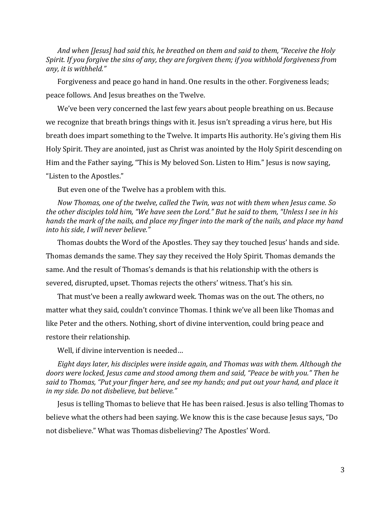*And when [Jesus] had said this, he breathed on them and said to them, "Receive the Holy Spirit. If you forgive the sins of any, they are forgiven them; if you withhold forgiveness from any, it is withheld."*

Forgiveness and peace go hand in hand. One results in the other. Forgiveness leads; peace follows. And Jesus breathes on the Twelve.

We've been very concerned the last few years about people breathing on us. Because we recognize that breath brings things with it. Jesus isn't spreading a virus here, but His breath does impart something to the Twelve. It imparts His authority. He's giving them His Holy Spirit. They are anointed, just as Christ was anointed by the Holy Spirit descending on Him and the Father saying, "This is My beloved Son. Listen to Him." Jesus is now saying, "Listen to the Apostles."

But even one of the Twelve has a problem with this.

*Now Thomas, one of the twelve, called the Twin, was not with them when Jesus came. So the other disciples told him, "We have seen the Lord." But he said to them, "Unless I see in his hands the mark of the nails, and place my finger into the mark of the nails, and place my hand into his side, I will never believe."*

Thomas doubts the Word of the Apostles. They say they touched Jesus' hands and side. Thomas demands the same. They say they received the Holy Spirit. Thomas demands the same. And the result of Thomas's demands is that his relationship with the others is severed, disrupted, upset. Thomas rejects the others' witness. That's his sin.

That must've been a really awkward week. Thomas was on the out. The others, no matter what they said, couldn't convince Thomas. I think we've all been like Thomas and like Peter and the others. Nothing, short of divine intervention, could bring peace and restore their relationship.

Well, if divine intervention is needed…

*Eight days later, his disciples were inside again, and Thomas was with them. Although the doors were locked, Jesus came and stood among them and said, "Peace be with you." Then he said to Thomas, "Put your finger here, and see my hands; and put out your hand, and place it in my side. Do not disbelieve, but believe."* 

Jesus is telling Thomas to believe that He has been raised. Jesus is also telling Thomas to believe what the others had been saying. We know this is the case because Jesus says, "Do not disbelieve." What was Thomas disbelieving? The Apostles' Word.